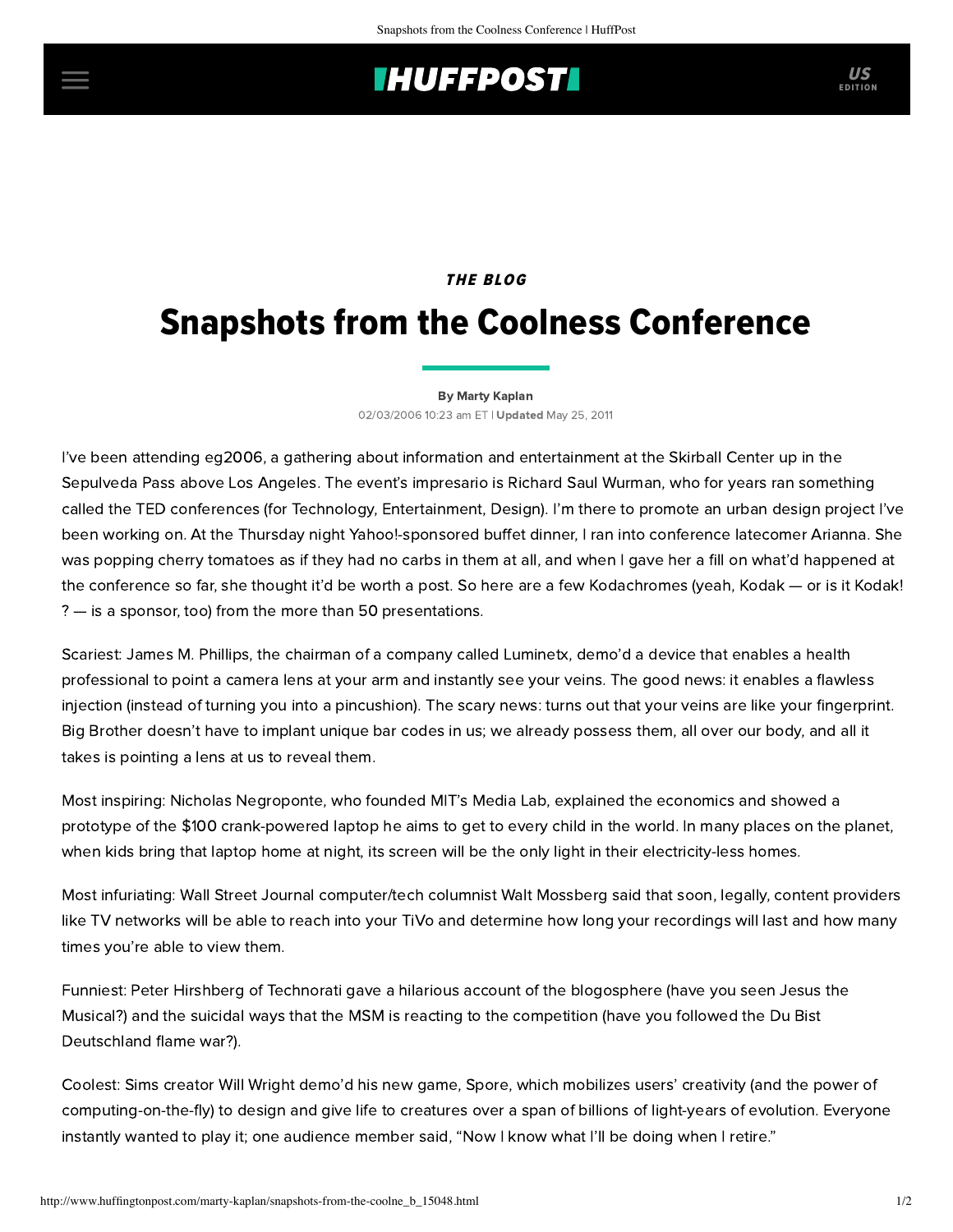# **THUFFPOST**

### THE BLOG

# Snapshots from the Coolness Conference

#### [By Marty Kaplan](http://www.huffingtonpost.com/author/marty-kaplan)

02/03/2006 10:23 am ET | Updated May 25, 2011

I've been attending [eg2006](http://www.eg2006.com/), a gathering about information and entertainment at the Skirball Center up in the Sepulveda Pass above Los Angeles. The event's impresario is Richard Saul Wurman, who for years ran something called the TED conferences (for Technology, Entertainment, Design). I'm there to promote an urban [design project](http://www.grandintervention.org/) I've been working on. At the Thursday night Yahoo!-sponsored buffet dinner, I ran into conference latecomer Arianna. She was popping cherry tomatoes as if they had no carbs in them at all, and when I gave her a fill on what'd happened at the conference so far, she thought it'd be worth a post. So here are a few Kodachromes (yeah, Kodak — or is it Kodak! ? — is a sponsor, too) from the more than 50 presentations.

Scariest: James M. Phillips, the chairman of a company called Luminetx, demo'd a device that enables a health professional to point a camera lens at your arm and instantly see your veins. The good news: it enables a flawless injection (instead of turning you into a pincushion). The scary news: turns out that your veins are like your fingerprint. Big Brother doesn't have to implant unique bar codes in us; we already possess them, all over our body, and all it takes is pointing a lens at us to reveal them.

Most inspiring: Nicholas Negroponte, who founded MIT's Media Lab, explained the economics and showed a prototype of the \$100 crank-powered laptop he aims to get to every child in the world. In many places on the planet, when kids bring that laptop home at night, its screen will be the only light in their electricity-less homes.

Most infuriating: Wall Street Journal computer/tech columnist Walt Mossberg said that soon, legally, content providers like TV networks will be able to reach into your TiVo and determine how long your recordings will last and how many times you're able to view them.

Funniest: Peter Hirshberg of Technorati gave a hilarious account of the blogosphere (have you seen Jesus the [Musical?\) and the suicidal ways that the MSM is reacting to the competition \(have you followed the Du Bist](http://www.dumpalink.com/media/1138619446/Jesus_The_Musical) Deutschland flame war?).

Coolest: Sims creator Will Wright demo'd his new game, Spore, which mobilizes users' creativity (and the power of computing-on-the-fly) to design and give life to creatures over a span of billions of light-years of evolution. Everyone instantly wanted to play it; one audience member said, "Now I know what I'll be doing when I retire."